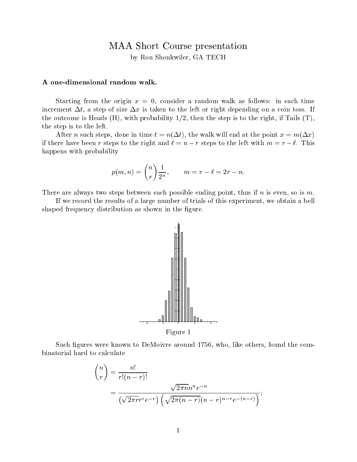# MAA Short Course presentation

by Ron Shonkwiler, GA TECH

#### A one-dimensional random walk.

Starting from the origin  $x = 0$ , consider a random walk as follows: in each time increment  $\Delta t$ , a step of size  $\Delta x$  is taken to the left or right depending on a coin toss. If the outcome is Heads  $(H)$ , with probability  $1/2$ , then the step is to the right, if Tails  $(T)$ , the step is to the left.

After *n* such steps, done in time  $t = n(\Delta t)$ , the walk will end at the point  $x = m(\Delta x)$ if there have been r steps to the right and  $\ell = n - r$  steps to the left with  $m = r - \ell$ . This happens with probability

$$
p(m, n) = {n \choose r} \frac{1}{2^n}, \qquad m = r - \ell = 2r - n
$$

There are always two steps between each possible ending point, thus if n is even, so is m.

If we record the results of a large number of trials of this experiment, we obtain a bell shaped frequency distribution as shown in the figure.



Figure 1

Such figures were known to DeMoivre around 1756, who, like others, found the combinatorial hard to calculate

$$
\binom{n}{r} = \frac{n!}{r!(n-r)!}
$$

$$
= \frac{\sqrt{2\pi n}n^n e^{-n}}{(\sqrt{2\pi r}r^r e^{-r})(\sqrt{2\pi (n-r)}(n-r)^{n-r}e^{-(n-r)})};
$$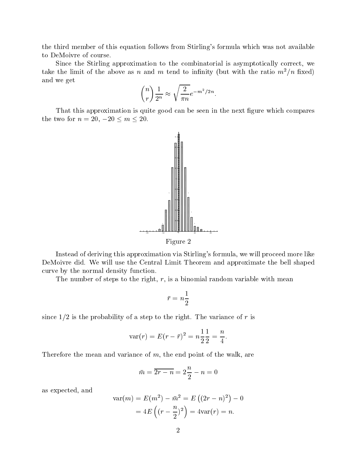the third member of this equation follows from Stirling's formula which was not available to DeMoivre of course.

Since the Stirling approximation to the combinatorial is asymptotically correct, we take the limit of the above as n and m tend to infinity (but with the ratio  $m^2/n$  fixed) and we get

$$
\binom{n}{r}\frac{1}{2^n} \approx \sqrt{\frac{2}{\pi n}}e^{-m^2/2n}.
$$

:

That this approximation is quite good can be seen in the next figure which compares the two for  $n = 20, -20 \le m \le 20$ .



Instead of deriving this approximation via Stirling's formula, we will proceed more like DeMoivre did. We will use the Central Limit Theorem and approximate the bell shaped curve by the normal density function.

The number of steps to the right,  $r$ , is a binomial random variable with mean

$$
\bar{r}=n\frac{1}{2}
$$

since  $1/2$  is the probability of a step to the right. The variance of r is

$$
\text{var}(r) = E(r - \bar{r})^2 = n\frac{1}{2}\frac{1}{2} = \frac{n}{4}.
$$

Therefore the mean and variance of  $m$ , the end point of the walk, are

$$
\bar{m} = \overline{2r - n} = 2\frac{n}{2} - n = 0
$$

as expected, and

$$
\text{var}(m) = E(m^2) - \bar{m}^2 = E((2r - n)^2) - 0
$$

$$
= 4E\left((r - \frac{n}{2})^2\right) = 4\text{var}(r) = n.
$$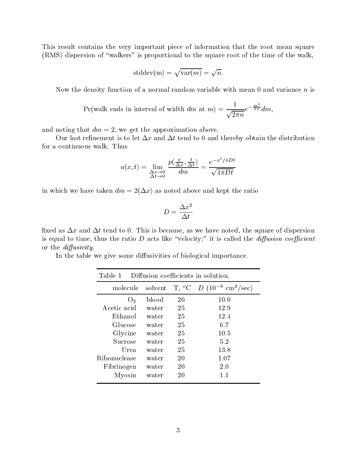This result contains the very important piece of information that the root mean square (RMS) dispersion of "walkers" is proportional to the square root of the time of the walk,

$$
stddev(m) = \sqrt{var(m)} = \sqrt{n}.
$$

Now the density function of a normal random variable with mean 0 and variance  $n$  is

$$
\Pr(\text{walk ends in interval of width } dm \text{ at } m) = \frac{1}{\sqrt{2\pi n}} e^{-\frac{m^2}{2n}} dm,
$$

and noting that  $dm = 2$ , we get the approximation above.

Our last refinement is to let  $\Delta x$  and  $\Delta t$  tend to 0 and thereby obtain the distribution for a continuous walk. Thus

$$
u(x,t) = \lim_{\substack{\Delta x \to 0 \\ \Delta t \to 0}} \frac{p(\frac{x}{\Delta x}, \frac{t}{\Delta t})}{dm} = \frac{e^{-x^2/4Dt}}{\sqrt{4\pi Dt}}
$$

in which we have taken  $dm = 2(\Delta x)$  as noted above and kept the ratio

$$
D=\frac{\Delta x^2}{\Delta t}
$$

fixed as  $\Delta x$  and  $\Delta t$  tend to 0. This is because, as we have noted, the square of dispersion is equal to time, thus the ratio  $D$  acts like "velocity;" it is called the *diffusion coefficient* or the *diffusivity*.

In the table we give some diffusivities of biological importance.

| Diffusion coefficients in solution.<br>Table 1 |         |    |                                                    |  |
|------------------------------------------------|---------|----|----------------------------------------------------|--|
| molecule                                       | solvent |    | $T, {}^{o}C$ $D (10^{-6} \text{ cm}^2/\text{sec})$ |  |
| O <sub>2</sub>                                 | blood   | 20 | 10.0                                               |  |
| Acetic acid                                    | water   | 25 | 12.9                                               |  |
| Ethanol                                        | water   | 25 | 12.4                                               |  |
| Glucose                                        | water   | 25 | 6.7                                                |  |
| Glycine                                        | water   | 25 | 10.5                                               |  |
| Sucrose                                        | water   | 25 | 5.2                                                |  |
| Urea                                           | water   | 25 | 13.8                                               |  |
| Ribonuclease                                   | water   | 20 | 1.07                                               |  |
| Fibrinogen                                     | water   | 20 | 2.0                                                |  |
| Myosin                                         | water   | 20 | 1.1                                                |  |
|                                                |         |    |                                                    |  |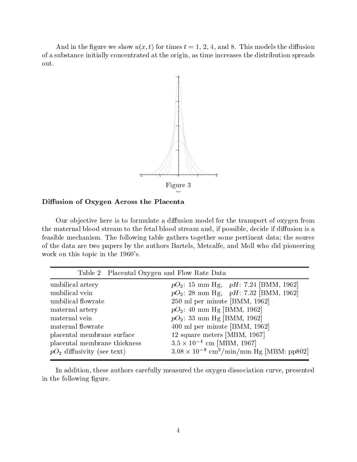And in the figure we show  $u(x, t)$  for times  $t = 1, 2, 4$ , and 8. This models the diffusion of a substance initially concentrated at the origin, as time increases the distribution spreads out.



### Diffusion of Oxygen Across the Placenta

Our objective here is to formulate a diffusion model for the transport of oxygen from the maternal blood stream to the fetal blood stream and, if possible, decide if diffusion is a feasible mechanism. The following table gathers together some pertinent data; the source of the data are two papers by the authors Bartels, Metcalfe, and Moll who did pioneering work on this topic in the 1960's.

| Table 2 Placental Oxygen and Flow Rate Data |                                                               |
|---------------------------------------------|---------------------------------------------------------------|
| umbilical artery                            | $pO_2$ : 15 mm Hg, pH: 7.24 [BMM, 1962]                       |
| umbilical vein                              | $pO_2$ : 28 mm Hg, pH: 7.32 [BMM, 1962]                       |
| umbilical flowrate                          | 250 ml per minute [BMM, 1962]                                 |
| maternal artery                             | $pO_2$ : 40 mm Hg [BMM, 1962]                                 |
| maternal vein                               | $pO_2$ : 33 mm Hg [BMM, 1962]                                 |
| maternal flowrate                           | 400 ml per minute [BMM, 1962]                                 |
| placental membrane surface                  | 12 square meters [MBM, 1967]                                  |
| placental membrane thickness                | $3.5 \times 10^{-4}$ cm [MBM, 1967]                           |
| $pO_2$ diffusivity (see text)               | $3.08 \times 10^{-8}$ cm <sup>2</sup> /min/mm Hg [MBM: pp802] |

In addition, these authors carefully measured the oxygen dissociation curve, presented in the following figure.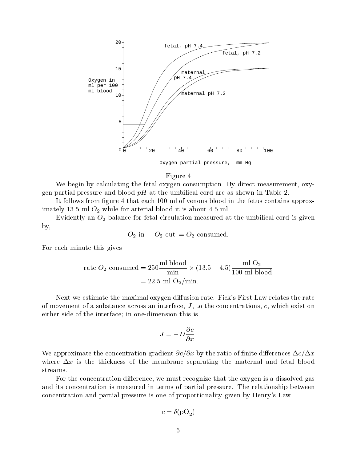

Oxygen partial pressure, mm Hg

#### Figure 4

We begin by calculating the fetal oxygen consumption. By direct measurement, oxygen partial pressure and blood  $pH$  at the umbilical cord are as shown in Table 2.

It follows from figure 4 that each 100 ml of venous blood in the fetus contains approximately 13.5 ml  $O_2$  while for arterial blood it is about 4.5 ml.

Evidently an  $O_2$  balance for fetal circulation measured at the umbilical cord is given by,

$$
O_2
$$
 in  $-O_2$  out  $=O_2$  consumed.

For each minute this gives

rate 
$$
O_2
$$
 consumed =  $250 \frac{\text{ml blood}}{\text{min}} \times (13.5 - 4.5) \frac{\text{ml O}_2}{100 \text{ ml blood}}$   
= 22.5 ml O<sub>2</sub>/min.

Next we estimate the maximal oxygen diffusion rate. Fick's First Law relates the rate of movement of a substance across an interface,  $J$ , to the concentrations,  $c$ , which exist on either side of the interface; in one-dimension this is

$$
J = -D\frac{\partial c}{\partial x}.
$$

We approximate the concentration gradient  $\partial c/\partial x$  by the ratio of finite differences  $\Delta c/\Delta x$ where  $\Delta x$  is the thickness of the membrane separating the maternal and fetal blood streams.

For the concentration difference, we must recognize that the oxygen is a dissolved gas and its concentration is measured in terms of partial pressure. The relationship between concentration and partial pressure is one of proportionality given by Henry's Law

$$
c = \delta(\mathrm{pO}_2)
$$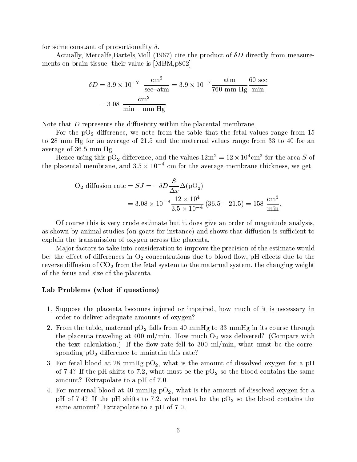for some constant of proportionality  $\delta$ .

Actually, Metcalfe,Bartels,Moll (1967) cite the product of  $\delta D$  directly from measurements on brain tissue; their value is [MBM,p802]

$$
\delta D = 3.9 \times 10^{-7} \frac{\text{cm}^2}{\text{sec-atm}} = 3.9 \times 10^{-7} \frac{\text{atm}}{760 \text{ mm Hg}} \frac{60 \text{ sec}}{\text{min}}
$$

$$
= 3.08 \frac{\text{cm}^2}{\text{min} - \text{mm Hg}}.
$$

Note that  $D$  represents the diffusivity within the placental membrane.

For the  $pO_2$  difference, we note from the table that the fetal values range from 15 to 28 mm Hg for an average of 21.5 and the maternal values range from 33 to 40 for an average of 36.5 mm Hg.

Hence using this  $pO_2$  difference, and the values  $12m^2 = 12 \times 10^4$  cm<sup>2</sup> for the area S of the placental membrane, and  $3.5 \times 10^{-4}$  cm for the average membrane thickness, we get

O<sub>2</sub> diffusion rate = 
$$
SJ = -\delta D \frac{S}{\Delta x} \Delta (pO_2)
$$
  
=  $3.08 \times 10^{-8} \frac{12 \times 10^4}{3.5 \times 10^{-4}} (36.5 - 21.5) = 158 \frac{cm^3}{min}.$ 

Of course this is very crude estimate but it does give an order of magnitude analysis, as shown by animal studies (on goats for instance) and shows that diffusion is sufficient to explain the transmission of oxygen across the placenta.

Ma jor factors to take into consideration to improve the precision of the estimate would be: the effect of differences in  $O_2$  concentrations due to blood flow, pH effects due to the reverse diffusion of  $CO<sub>2</sub>$  from the fetal system to the maternal system, the changing weight of the fetus and size of the placenta.

## Lab Problems (what if questions)

- 1. Suppose the placenta becomes injured or impaired, how much of it is necessary in order to deliver adequate amounts of oxygen?
- 2. From the table, maternal pO<sub>2</sub> falls from 40 mmHg to 33 mmHg in its course through the placenta traveling at 400 ml/min. How much  $O_2$  was delivered? (Compare with the text calculation.) If the flow rate fell to  $300 \text{ ml/min}$ , what must be the corresponding  $pO_2$  difference to maintain this rate?
- 3. For fetal blood at 28 mmHg pO<sub>2</sub>, what is the amount of dissolved oxygen for a pH of 7.4? If the pH shifts to 7.2, what must be the  $pO<sub>2</sub>$  so the blood contains the same amount? Extrapolate to a pH of 7.0.
- 4. For maternal blood at 40 mmHg  $pO_2$ , what is the amount of dissolved oxygen for a pH of 7.4? If the pH shifts to 7.2, what must be the  $pO<sub>2</sub>$  so the blood contains the same amount? Extrapolate to a pH of 7.0.